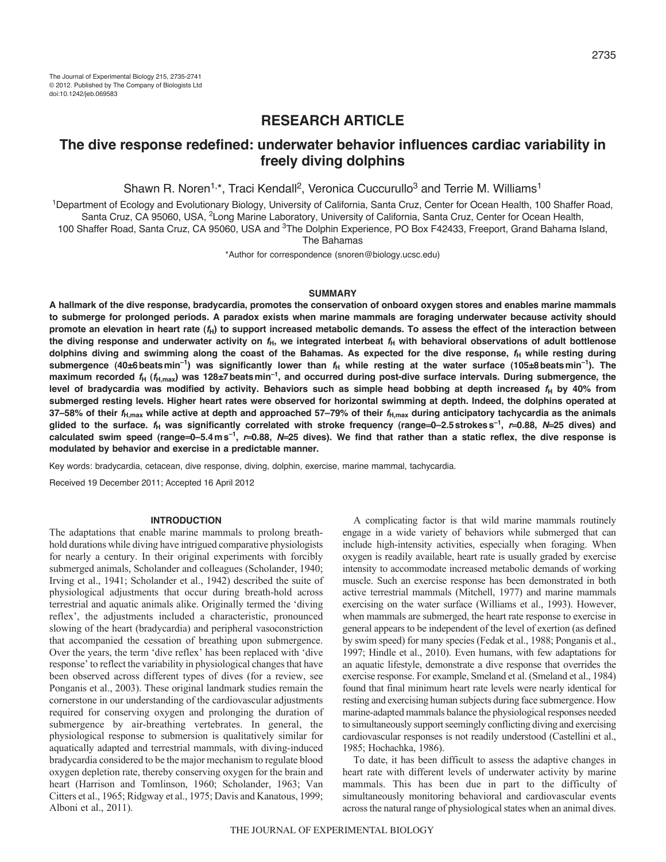# **RESEARCH ARTICLE**

# **The dive response redefined: underwater behavior influences cardiac variability in freely diving dolphins**

Shawn R. Noren<sup>1,\*</sup>, Traci Kendall<sup>2</sup>, Veronica Cuccurullo<sup>3</sup> and Terrie M. Williams<sup>1</sup>

1Department of Ecology and Evolutionary Biology, University of California, Santa Cruz, Center for Ocean Health, 100 Shaffer Road, Santa Cruz, CA 95060, USA, <sup>2</sup>Long Marine Laboratory, University of California, Santa Cruz, Center for Ocean Health,

100 Shaffer Road, Santa Cruz, CA 95060, USA and <sup>3</sup>The Dolphin Experience, PO Box F42433, Freeport, Grand Bahama Island,

The Bahamas

\*Author for correspondence (snoren@biology.ucsc.edu)

## **SUMMARY**

**A hallmark of the dive response, bradycardia, promotes the conservation of onboard oxygen stores and enables marine mammals to submerge for prolonged periods. A paradox exists when marine mammals are foraging underwater because activity should promote an elevation in heart rate (***f***H) to support increased metabolic demands. To assess the effect of the interaction between** the diving response and underwater activity on  $f_H$ , we integrated interbeat  $f_H$  with behavioral observations of adult bottlenose dolphins diving and swimming along the coast of the Bahamas. As expected for the dive response,  $f_H$  while resting during submergence (40±6 beats min<sup>-1</sup>) was significantly lower than  $f_H$  while resting at the water surface (105±8 beats min<sup>-1</sup>). The **maximum recorded** *f***<sup>H</sup> (***f***H,max) was 128±7beatsmin–1, and occurred during post-dive surface intervals. During submergence, the** level of bradycardia was modified by activity. Behaviors such as simple head bobbing at depth increased *f*<sub>H</sub> by 40% from **submerged resting levels. Higher heart rates were observed for horizontal swimming at depth. Indeed, the dolphins operated at 37–58% of their** *f***H,max while active at depth and approached 57–79% of their** *f***H,max during anticipatory tachycardia as the animals glided to the surface.** *f***<sup>H</sup> was significantly correlated with stroke frequency (range0–2.5strokess–1,** *r***0.88,** *N***25 dives) and calculated swim speed (range0–5.4ms–1,** *r***0.88,** *N***25 dives). We find that rather than a static reflex, the dive response is modulated by behavior and exercise in a predictable manner.**

Key words: bradycardia, cetacean, dive response, diving, dolphin, exercise, marine mammal, tachycardia.

Received 19 December 2011; Accepted 16 April 2012

### **INTRODUCTION**

The adaptations that enable marine mammals to prolong breathhold durations while diving have intrigued comparative physiologists for nearly a century. In their original experiments with forcibly submerged animals, Scholander and colleagues (Scholander, 1940; Irving et al., 1941; Scholander et al., 1942) described the suite of physiological adjustments that occur during breath-hold across terrestrial and aquatic animals alike. Originally termed the 'diving reflex', the adjustments included a characteristic, pronounced slowing of the heart (bradycardia) and peripheral vasoconstriction that accompanied the cessation of breathing upon submergence. Over the years, the term 'dive reflex' has been replaced with 'dive response' to reflect the variability in physiological changes that have been observed across different types of dives (for a review, see Ponganis et al., 2003). These original landmark studies remain the cornerstone in our understanding of the cardiovascular adjustments required for conserving oxygen and prolonging the duration of submergence by air-breathing vertebrates. In general, the physiological response to submersion is qualitatively similar for aquatically adapted and terrestrial mammals, with diving-induced bradycardia considered to be the major mechanism to regulate blood oxygen depletion rate, thereby conserving oxygen for the brain and heart (Harrison and Tomlinson, 1960; Scholander, 1963; Van Citters et al., 1965; Ridgway et al., 1975; Davis and Kanatous, 1999; Alboni et al., 2011).

A complicating factor is that wild marine mammals routinely engage in a wide variety of behaviors while submerged that can include high-intensity activities, especially when foraging. When oxygen is readily available, heart rate is usually graded by exercise intensity to accommodate increased metabolic demands of working muscle. Such an exercise response has been demonstrated in both active terrestrial mammals (Mitchell, 1977) and marine mammals exercising on the water surface (Williams et al., 1993). However, when mammals are submerged, the heart rate response to exercise in general appears to be independent of the level of exertion (as defined by swim speed) for many species (Fedak et al., 1988; Ponganis et al., 1997; Hindle et al., 2010). Even humans, with few adaptations for an aquatic lifestyle, demonstrate a dive response that overrides the exercise response. For example, Smeland et al. (Smeland et al., 1984) found that final minimum heart rate levels were nearly identical for resting and exercising human subjects during face submergence. How marine-adapted mammals balance the physiological responses needed to simultaneously support seemingly conflicting diving and exercising cardiovascular responses is not readily understood (Castellini et al., 1985; Hochachka, 1986).

To date, it has been difficult to assess the adaptive changes in heart rate with different levels of underwater activity by marine mammals. This has been due in part to the difficulty of simultaneously monitoring behavioral and cardiovascular events across the natural range of physiological states when an animal dives.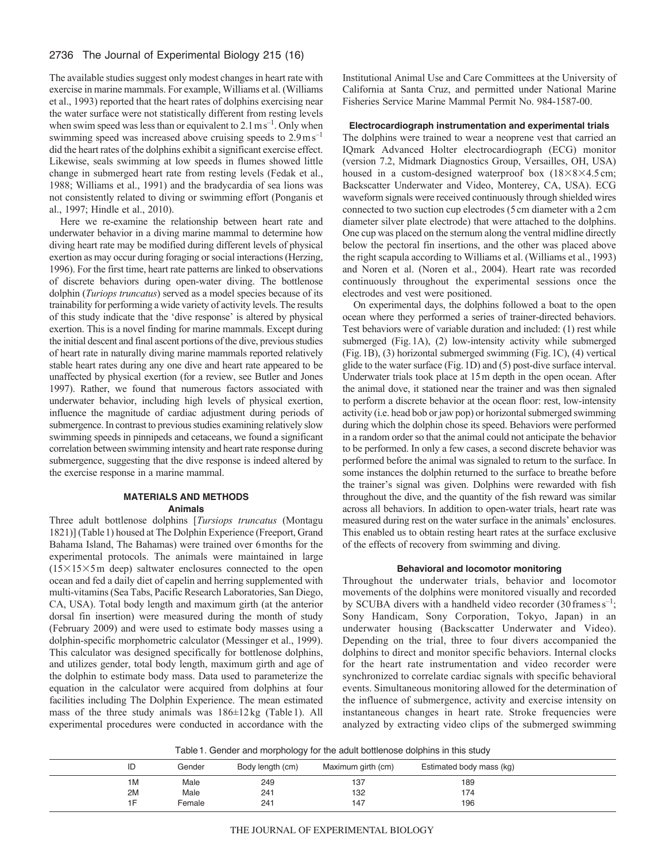## 2736 The Journal of Experimental Biology 215 (16)

The available studies suggest only modest changes in heart rate with exercise in marine mammals. For example, Williams et al. (Williams et al., 1993) reported that the heart rates of dolphins exercising near the water surface were not statistically different from resting levels when swim speed was less than or equivalent to  $2.1 \text{ m s}^{-1}$ . Only when swimming speed was increased above cruising speeds to  $2.9 \text{ m s}^{-1}$ did the heart rates of the dolphins exhibit a significant exercise effect. Likewise, seals swimming at low speeds in flumes showed little change in submerged heart rate from resting levels (Fedak et al., 1988; Williams et al., 1991) and the bradycardia of sea lions was not consistently related to diving or swimming effort (Ponganis et al., 1997; Hindle et al., 2010).

Here we re-examine the relationship between heart rate and underwater behavior in a diving marine mammal to determine how diving heart rate may be modified during different levels of physical exertion as may occur during foraging or social interactions (Herzing, 1996). For the first time, heart rate patterns are linked to observations of discrete behaviors during open-water diving. The bottlenose dolphin (*Turiops truncatus*) served as a model species because of its trainability for performing a wide variety of activity levels. The results of this study indicate that the 'dive response' is altered by physical exertion. This is a novel finding for marine mammals. Except during the initial descent and final ascent portions of the dive, previous studies of heart rate in naturally diving marine mammals reported relatively stable heart rates during any one dive and heart rate appeared to be unaffected by physical exertion (for a review, see Butler and Jones 1997). Rather, we found that numerous factors associated with underwater behavior, including high levels of physical exertion, influence the magnitude of cardiac adjustment during periods of submergence. In contrast to previous studies examining relatively slow swimming speeds in pinnipeds and cetaceans, we found a significant correlation between swimming intensity and heart rate response during submergence, suggesting that the dive response is indeed altered by the exercise response in a marine mammal.

## **MATERIALS AND METHODS Animals**

Three adult bottlenose dolphins [*Tursiops truncatus* (Montagu 1821)] (Table1) housed at The Dolphin Experience (Freeport, Grand Bahama Island, The Bahamas) were trained over 6months for the experimental protocols. The animals were maintained in large  $(15\times15\times5)$  m deep) saltwater enclosures connected to the open ocean and fed a daily diet of capelin and herring supplemented with multi-vitamins (Sea Tabs, Pacific Research Laboratories, San Diego, CA, USA). Total body length and maximum girth (at the anterior dorsal fin insertion) were measured during the month of study (February 2009) and were used to estimate body masses using a dolphin-specific morphometric calculator (Messinger et al., 1999). This calculator was designed specifically for bottlenose dolphins, and utilizes gender, total body length, maximum girth and age of the dolphin to estimate body mass. Data used to parameterize the equation in the calculator were acquired from dolphins at four facilities including The Dolphin Experience. The mean estimated mass of the three study animals was 186±12kg (Table1). All experimental procedures were conducted in accordance with the

Institutional Animal Use and Care Committees at the University of California at Santa Cruz, and permitted under National Marine Fisheries Service Marine Mammal Permit No. 984-1587-00.

## **Electrocardiograph instrumentation and experimental trials**

The dolphins were trained to wear a neoprene vest that carried an IQmark Advanced Holter electrocardiograph (ECG) monitor (version 7.2, Midmark Diagnostics Group, Versailles, OH, USA) housed in a custom-designed waterproof box  $(18\times8\times4.5 \text{ cm})$ ; Backscatter Underwater and Video, Monterey, CA, USA). ECG waveform signals were received continuously through shielded wires connected to two suction cup electrodes (5cm diameter with a 2cm diameter silver plate electrode) that were attached to the dolphins. One cup was placed on the sternum along the ventral midline directly below the pectoral fin insertions, and the other was placed above the right scapula according to Williams et al. (Williams et al., 1993) and Noren et al. (Noren et al., 2004). Heart rate was recorded continuously throughout the experimental sessions once the electrodes and vest were positioned.

On experimental days, the dolphins followed a boat to the open ocean where they performed a series of trainer-directed behaviors. Test behaviors were of variable duration and included: (1) rest while submerged (Fig.1A), (2) low-intensity activity while submerged (Fig.1B), (3) horizontal submerged swimming (Fig.1C), (4) vertical glide to the water surface (Fig.1D) and (5) post-dive surface interval. Underwater trials took place at 15m depth in the open ocean. After the animal dove, it stationed near the trainer and was then signaled to perform a discrete behavior at the ocean floor: rest, low-intensity activity (i.e. head bob or jaw pop) or horizontal submerged swimming during which the dolphin chose its speed. Behaviors were performed in a random order so that the animal could not anticipate the behavior to be performed. In only a few cases, a second discrete behavior was performed before the animal was signaled to return to the surface. In some instances the dolphin returned to the surface to breathe before the trainer's signal was given. Dolphins were rewarded with fish throughout the dive, and the quantity of the fish reward was similar across all behaviors. In addition to open-water trials, heart rate was measured during rest on the water surface in the animals' enclosures. This enabled us to obtain resting heart rates at the surface exclusive of the effects of recovery from swimming and diving.

## **Behavioral and locomotor monitoring**

Throughout the underwater trials, behavior and locomotor movements of the dolphins were monitored visually and recorded by SCUBA divers with a handheld video recorder  $(30 \text{ frames s}^{-1})$ ; Sony Handicam, Sony Corporation, Tokyo, Japan) in an underwater housing (Backscatter Underwater and Video). Depending on the trial, three to four divers accompanied the dolphins to direct and monitor specific behaviors. Internal clocks for the heart rate instrumentation and video recorder were synchronized to correlate cardiac signals with specific behavioral events. Simultaneous monitoring allowed for the determination of the influence of submergence, activity and exercise intensity on instantaneous changes in heart rate. Stroke frequencies were analyzed by extracting video clips of the submerged swimming

Table1. Gender and morphology for the adult bottlenose dolphins in this study

| Gender | Body length (cm) | Maximum girth (cm) | Estimated body mass (kg) |  |
|--------|------------------|--------------------|--------------------------|--|
| Male   | 249              | 137                | 189                      |  |
| Male   | 241              | 132                | 174                      |  |
| Female | 241              | 147                | 196                      |  |
|        |                  | --                 |                          |  |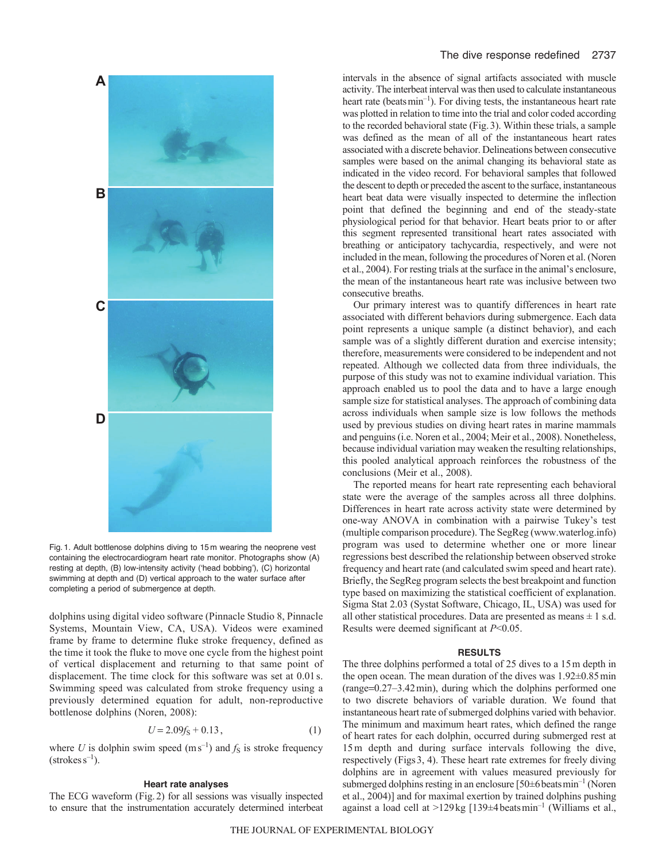

Fig. 1. Adult bottlenose dolphins diving to 15 m wearing the neoprene vest containing the electrocardiogram heart rate monitor. Photographs show (A) resting at depth, (B) low-intensity activity (ʻhead bobbing'), (C) horizontal swimming at depth and (D) vertical approach to the water surface after completing a period of submergence at depth.

dolphins using digital video software (Pinnacle Studio 8, Pinnacle Systems, Mountain View, CA, USA). Videos were examined frame by frame to determine fluke stroke frequency, defined as the time it took the fluke to move one cycle from the highest point of vertical displacement and returning to that same point of displacement. The time clock for this software was set at 0.01s. Swimming speed was calculated from stroke frequency using a previously determined equation for adult, non-reproductive bottlenose dolphins (Noren, 2008):

$$
U = 2.09fS + 0.13,
$$
 (1)

where *U* is dolphin swim speed  $(m s^{-1})$  and  $f_S$  is stroke frequency  $(\text{strokes s}^{-1})$ .

### **Heart rate analyses**

The ECG waveform (Fig.2) for all sessions was visually inspected to ensure that the instrumentation accurately determined interbeat intervals in the absence of signal artifacts associated with muscle activity. The interbeat interval was then used to calculate instantaneous heart rate (beats  $min^{-1}$ ). For diving tests, the instantaneous heart rate was plotted in relation to time into the trial and color coded according to the recorded behavioral state (Fig.3). Within these trials, a sample was defined as the mean of all of the instantaneous heart rates associated with a discrete behavior. Delineations between consecutive samples were based on the animal changing its behavioral state as indicated in the video record. For behavioral samples that followed the descent to depth or preceded the ascent to the surface, instantaneous heart beat data were visually inspected to determine the inflection point that defined the beginning and end of the steady-state physiological period for that behavior. Heart beats prior to or after this segment represented transitional heart rates associated with breathing or anticipatory tachycardia, respectively, and were not included in the mean, following the procedures of Noren et al. (Noren et al., 2004). For resting trials at the surface in the animal's enclosure, the mean of the instantaneous heart rate was inclusive between two consecutive breaths.

Our primary interest was to quantify differences in heart rate associated with different behaviors during submergence. Each data point represents a unique sample (a distinct behavior), and each sample was of a slightly different duration and exercise intensity; therefore, measurements were considered to be independent and not repeated. Although we collected data from three individuals, the purpose of this study was not to examine individual variation. This approach enabled us to pool the data and to have a large enough sample size for statistical analyses. The approach of combining data across individuals when sample size is low follows the methods used by previous studies on diving heart rates in marine mammals and penguins (i.e. Noren et al., 2004; Meir et al., 2008). Nonetheless, because individual variation may weaken the resulting relationships, this pooled analytical approach reinforces the robustness of the conclusions (Meir et al., 2008).

The reported means for heart rate representing each behavioral state were the average of the samples across all three dolphins. Differences in heart rate across activity state were determined by one-way ANOVA in combination with a pairwise Tukey's test (multiple comparison procedure). The SegReg (www.waterlog.info) program was used to determine whether one or more linear regressions best described the relationship between observed stroke frequency and heart rate (and calculated swim speed and heart rate). Briefly, the SegReg program selects the best breakpoint and function type based on maximizing the statistical coefficient of explanation. Sigma Stat 2.03 (Systat Software, Chicago, IL, USA) was used for all other statistical procedures. Data are presented as means  $\pm 1$  s.d. Results were deemed significant at *P*<0.05.

## **RESULTS**

The three dolphins performed a total of 25 dives to a 15m depth in the open ocean. The mean duration of the dives was 1.92±0.85min  $(range=0.27-3.42 \text{ min})$ , during which the dolphins performed one to two discrete behaviors of variable duration. We found that instantaneous heart rate of submerged dolphins varied with behavior. The minimum and maximum heart rates, which defined the range of heart rates for each dolphin, occurred during submerged rest at 15m depth and during surface intervals following the dive, respectively (Figs3, 4). These heart rate extremes for freely diving dolphins are in agreement with values measured previously for submerged dolphins resting in an enclosure  $[50\pm6$  beats min<sup>-1</sup> (Noren et al., 2004)] and for maximal exertion by trained dolphins pushing against a load cell at >129 kg  $[139 \pm 4 \text{ beats min}^{-1}$  (Williams et al.,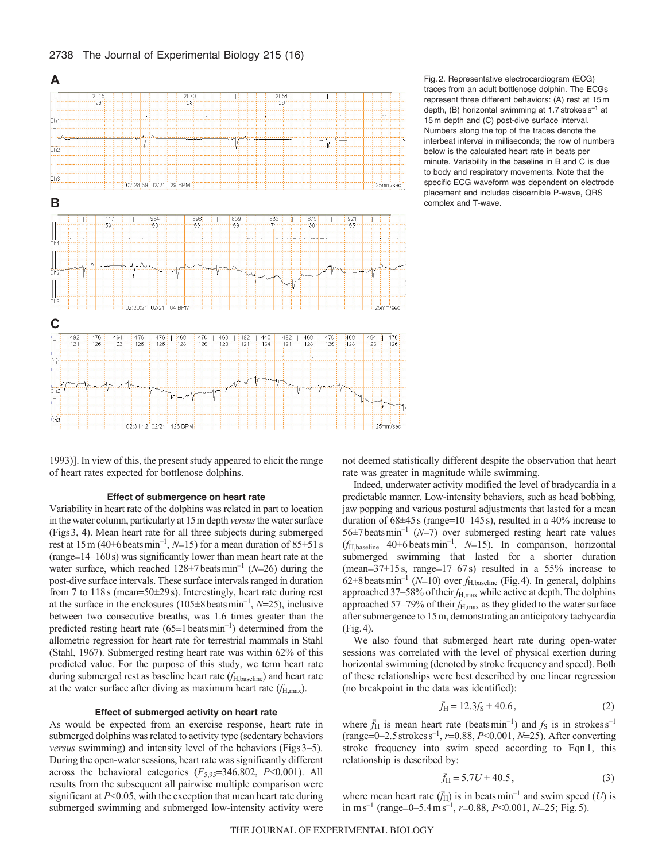



Fig. 2. Representative electrocardiogram (ECG) traces from an adult bottlenose dolphin. The ECGs represent three different behaviors: (A) rest at 15 m depth,  $(B)$  horizontal swimming at 1.7 strokes  $s^{-1}$  at 15 m depth and (C) post-dive surface interval. Numbers along the top of the traces denote the interbeat interval in milliseconds; the row of numbers below is the calculated heart rate in beats per minute. Variability in the baseline in B and C is due to body and respiratory movements. Note that the specific ECG waveform was dependent on electrode placement and includes discernible P-wave, QRS complex and T-wave.

1993)]. In view of this, the present study appeared to elicit the range of heart rates expected for bottlenose dolphins.

#### **Effect of submergence on heart rate**

Variability in heart rate of the dolphins was related in part to location in the water column, particularly at 15m depth *versus*the water surface (Figs3, 4). Mean heart rate for all three subjects during submerged rest at  $15 \text{ m } (40 \pm 6 \text{ beats min}^{-1}, N=15)$  for a mean duration of  $85 \pm 51 \text{ s}$  $(range=14-160s)$  was significantly lower than mean heart rate at the water surface, which reached  $128\pm7$  beats min<sup>-1</sup> ( $N=26$ ) during the post-dive surface intervals. These surface intervals ranged in duration from 7 to  $118s$  (mean=50 $\pm$ 29s). Interestingly, heart rate during rest at the surface in the enclosures  $(105 \pm 8 \text{ beats min}^{-1}, N=25)$ , inclusive between two consecutive breaths, was 1.6 times greater than the predicted resting heart rate  $(65\pm1 \text{ beats min}^{-1})$  determined from the allometric regression for heart rate for terrestrial mammals in Stahl (Stahl, 1967). Submerged resting heart rate was within 62% of this predicted value. For the purpose of this study, we term heart rate during submerged rest as baseline heart rate ( $f_{\text{H,baseline}}$ ) and heart rate at the water surface after diving as maximum heart rate (*f*H,max).

## **Effect of submerged activity on heart rate**

As would be expected from an exercise response, heart rate in submerged dolphins was related to activity type (sedentary behaviors *versus* swimming) and intensity level of the behaviors (Figs 3–5). During the open-water sessions, heart rate was significantly different across the behavioral categories  $(F_{5,95}=346.802, P<0.001)$ . All results from the subsequent all pairwise multiple comparison were significant at *P*<0.05, with the exception that mean heart rate during submerged swimming and submerged low-intensity activity were not deemed statistically different despite the observation that heart rate was greater in magnitude while swimming.

Indeed, underwater activity modified the level of bradycardia in a predictable manner. Low-intensity behaviors, such as head bobbing, jaw popping and various postural adjustments that lasted for a mean duration of  $68\pm45$  s (range=10–145s), resulted in a 40% increase to 56 $\pm$ 7 beats min<sup>-1</sup> (*N*=7) over submerged resting heart rate values  $(f<sub>H,baseline</sub> 40±6 beats min<sup>-1</sup>, N=15)$ . In comparison, horizontal submerged swimming that lasted for a shorter duration (mean= $37\pm15$  s, range= $17-67$  s) resulted in a 55% increase to 62 $\pm$ 8 beats min<sup>-1</sup> (*N*=10) over  $f_{H, \text{baseline}}$  (Fig. 4). In general, dolphins approached 37–58% of their  $f_{\text{H,max}}$  while active at depth. The dolphins approached 57–79% of their  $f_{\text{H,max}}$  as they glided to the water surface after submergence to 15m, demonstrating an anticipatory tachycardia (Fig.4).

We also found that submerged heart rate during open-water sessions was correlated with the level of physical exertion during horizontal swimming (denoted by stroke frequency and speed). Both of these relationships were best described by one linear regression (no breakpoint in the data was identified):

$$
\bar{f}_{\rm H} = 12.3f_{\rm S} + 40.6\,,\tag{2}
$$

where  $\bar{f}_{\text{H}}$  is mean heart rate (beatsmin<sup>-1</sup>) and  $f_{\text{S}}$  is in strokes s<sup>-1</sup> (range=0–2.5 strokes s<sup>-1</sup>, *r*=0.88, *P*<0.001, *N*=25). After converting stroke frequency into swim speed according to Eqn 1, this relationship is described by:

$$
\bar{f}_{\rm H} = 5.7U + 40.5\,,\tag{3}
$$

where mean heart rate  $(\bar{f}_{\text{H}})$  is in beats min<sup>-1</sup> and swim speed (*U*) is in ms<sup>-1</sup> (range=0-5.4 ms<sup>-1</sup>,  $r=0.88$ ,  $P<0.001$ ,  $N=25$ ; Fig. 5).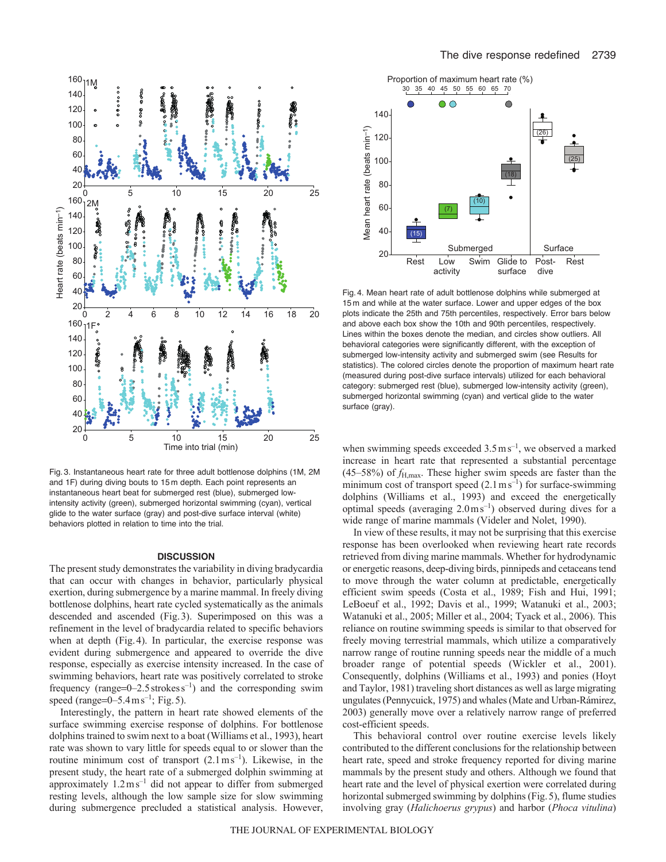



Fig. 3. Instantaneous heart rate for three adult bottlenose dolphins (1M, 2M and 1F) during diving bouts to 15 m depth. Each point represents an instantaneous heart beat for submerged rest (blue), submerged lowintensity activity (green), submerged horizontal swimming (cyan), vertical glide to the water surface (gray) and post-dive surface interval (white) behaviors plotted in relation to time into the trial.

### **DISCUSSION**

The present study demonstrates the variability in diving bradycardia that can occur with changes in behavior, particularly physical exertion, during submergence by a marine mammal. In freely diving bottlenose dolphins, heart rate cycled systematically as the animals descended and ascended (Fig.3). Superimposed on this was a refinement in the level of bradycardia related to specific behaviors when at depth (Fig.4). In particular, the exercise response was evident during submergence and appeared to override the dive response, especially as exercise intensity increased. In the case of swimming behaviors, heart rate was positively correlated to stroke frequency (range= $0-2.5$  strokes s<sup>-1</sup>) and the corresponding swim speed (range= $0-5.4 \text{ m s}^{-1}$ ; Fig. 5).

Interestingly, the pattern in heart rate showed elements of the surface swimming exercise response of dolphins. For bottlenose dolphins trained to swim next to a boat (Williams et al., 1993), heart rate was shown to vary little for speeds equal to or slower than the routine minimum cost of transport  $(2.1 \text{ m s}^{-1})$ . Likewise, in the present study, the heart rate of a submerged dolphin swimming at approximately  $1.2 \text{ m s}^{-1}$  did not appear to differ from submerged resting levels, although the low sample size for slow swimming during submergence precluded a statistical analysis. However,



Fig. 4. Mean heart rate of adult bottlenose dolphins while submerged at 15 m and while at the water surface. Lower and upper edges of the box plots indicate the 25th and 75th percentiles, respectively. Error bars below and above each box show the 10th and 90th percentiles, respectively. Lines within the boxes denote the median, and circles show outliers. All behavioral categories were significantly different, with the exception of submerged low-intensity activity and submerged swim (see Results for statistics). The colored circles denote the proportion of maximum heart rate (measured during post-dive surface intervals) utilized for each behavioral category: submerged rest (blue), submerged low-intensity activity (green), submerged horizontal swimming (cyan) and vertical glide to the water surface (gray).

when swimming speeds exceeded  $3.5 \text{ m s}^{-1}$ , we observed a marked increase in heart rate that represented a substantial percentage (45–58%) of *f*H,max. These higher swim speeds are faster than the minimum cost of transport speed  $(2.1 \text{ m s}^{-1})$  for surface-swimming dolphins (Williams et al., 1993) and exceed the energetically optimal speeds (averaging  $2.0 \text{ m s}^{-1}$ ) observed during dives for a wide range of marine mammals (Videler and Nolet, 1990).

In view of these results, it may not be surprising that this exercise response has been overlooked when reviewing heart rate records retrieved from diving marine mammals. Whether for hydrodynamic or energetic reasons, deep-diving birds, pinnipeds and cetaceans tend to move through the water column at predictable, energetically efficient swim speeds (Costa et al., 1989; Fish and Hui, 1991; LeBoeuf et al., 1992; Davis et al., 1999; Watanuki et al., 2003; Watanuki et al., 2005; Miller et al., 2004; Tyack et al., 2006). This reliance on routine swimming speeds is similar to that observed for freely moving terrestrial mammals, which utilize a comparatively narrow range of routine running speeds near the middle of a much broader range of potential speeds (Wickler et al., 2001). Consequently, dolphins (Williams et al., 1993) and ponies (Hoyt and Taylor, 1981) traveling short distances as well as large migrating ungulates (Pennycuick, 1975) and whales (Mate and Urban-Rámirez, 2003) generally move over a relatively narrow range of preferred cost-efficient speeds.

This behavioral control over routine exercise levels likely contributed to the different conclusions for the relationship between heart rate, speed and stroke frequency reported for diving marine mammals by the present study and others. Although we found that heart rate and the level of physical exertion were correlated during horizontal submerged swimming by dolphins (Fig.5), flume studies involving gray (*Halichoerus grypus*) and harbor (*Phoca vitulina*)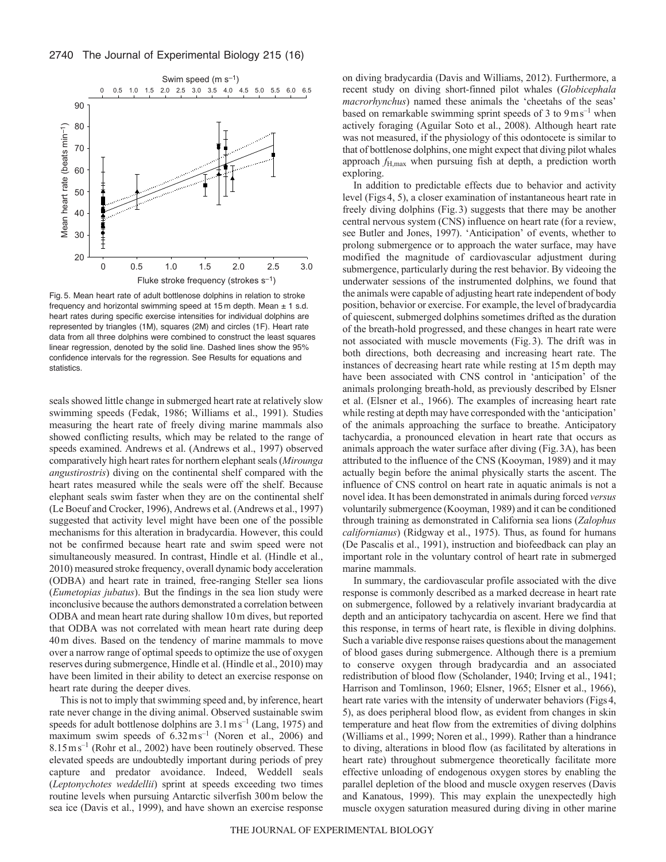

Fig. 5. Mean heart rate of adult bottlenose dolphins in relation to stroke frequency and horizontal swimming speed at 15 m depth. Mean  $\pm$  1 s.d. heart rates during specific exercise intensities for individual dolphins are represented by triangles (1M), squares (2M) and circles (1F). Heart rate data from all three dolphins were combined to construct the least squares linear regression, denoted by the solid line. Dashed lines show the 95% confidence intervals for the regression. See Results for equations and statistics.

seals showed little change in submerged heart rate at relatively slow swimming speeds (Fedak, 1986; Williams et al., 1991). Studies measuring the heart rate of freely diving marine mammals also showed conflicting results, which may be related to the range of speeds examined. Andrews et al. (Andrews et al., 1997) observed comparatively high heart rates for northern elephant seals (*Mirounga angustirostris*) diving on the continental shelf compared with the heart rates measured while the seals were off the shelf. Because elephant seals swim faster when they are on the continental shelf (Le Boeuf and Crocker, 1996), Andrews et al. (Andrews et al., 1997) suggested that activity level might have been one of the possible mechanisms for this alteration in bradycardia. However, this could not be confirmed because heart rate and swim speed were not simultaneously measured. In contrast, Hindle et al. (Hindle et al., 2010) measured stroke frequency, overall dynamic body acceleration (ODBA) and heart rate in trained, free-ranging Steller sea lions (*Eumetopias jubatus*). But the findings in the sea lion study were inconclusive because the authors demonstrated a correlation between ODBA and mean heart rate during shallow 10m dives, but reported that ODBA was not correlated with mean heart rate during deep 40m dives. Based on the tendency of marine mammals to move over a narrow range of optimal speeds to optimize the use of oxygen reserves during submergence, Hindle et al. (Hindle et al., 2010) may have been limited in their ability to detect an exercise response on heart rate during the deeper dives.

This is not to imply that swimming speed and, by inference, heart rate never change in the diving animal. Observed sustainable swim speeds for adult bottlenose dolphins are  $3.1 \text{ ms}^{-1}$  (Lang, 1975) and maximum swim speeds of  $6.32 \text{ m s}^{-1}$  (Noren et al., 2006) and 8.15ms–1 (Rohr et al., 2002) have been routinely observed. These elevated speeds are undoubtedly important during periods of prey capture and predator avoidance. Indeed, Weddell seals (*Leptonychotes weddellii*) sprint at speeds exceeding two times routine levels when pursuing Antarctic silverfish 300m below the sea ice (Davis et al., 1999), and have shown an exercise response on diving bradycardia (Davis and Williams, 2012). Furthermore, a recent study on diving short-finned pilot whales (*Globicephala macrorhynchus*) named these animals the 'cheetahs of the seas' based on remarkable swimming sprint speeds of 3 to  $9 \text{ m s}^{-1}$  when actively foraging (Aguilar Soto et al., 2008). Although heart rate was not measured, if the physiology of this odontocete is similar to that of bottlenose dolphins, one might expect that diving pilot whales approach  $f_{\text{H,max}}$  when pursuing fish at depth, a prediction worth exploring.

In addition to predictable effects due to behavior and activity level (Figs4, 5), a closer examination of instantaneous heart rate in freely diving dolphins (Fig.3) suggests that there may be another central nervous system (CNS) influence on heart rate (for a review, see Butler and Jones, 1997). 'Anticipation' of events, whether to prolong submergence or to approach the water surface, may have modified the magnitude of cardiovascular adjustment during submergence, particularly during the rest behavior. By videoing the underwater sessions of the instrumented dolphins, we found that the animals were capable of adjusting heart rate independent of body position, behavior or exercise. For example, the level of bradycardia of quiescent, submerged dolphins sometimes drifted as the duration of the breath-hold progressed, and these changes in heart rate were not associated with muscle movements (Fig.3). The drift was in both directions, both decreasing and increasing heart rate. The instances of decreasing heart rate while resting at 15m depth may have been associated with CNS control in 'anticipation' of the animals prolonging breath-hold, as previously described by Elsner et al. (Elsner et al., 1966). The examples of increasing heart rate while resting at depth may have corresponded with the 'anticipation' of the animals approaching the surface to breathe. Anticipatory tachycardia, a pronounced elevation in heart rate that occurs as animals approach the water surface after diving (Fig.3A), has been attributed to the influence of the CNS (Kooyman, 1989) and it may actually begin before the animal physically starts the ascent. The influence of CNS control on heart rate in aquatic animals is not a novel idea. It has been demonstrated in animals during forced *versus* voluntarily submergence (Kooyman, 1989) and it can be conditioned through training as demonstrated in California sea lions (*Zalophus californianus*) (Ridgway et al., 1975). Thus, as found for humans (De Pascalis et al., 1991), instruction and biofeedback can play an important role in the voluntary control of heart rate in submerged marine mammals.

In summary, the cardiovascular profile associated with the dive response is commonly described as a marked decrease in heart rate on submergence, followed by a relatively invariant bradycardia at depth and an anticipatory tachycardia on ascent. Here we find that this response, in terms of heart rate, is flexible in diving dolphins. Such a variable dive response raises questions about the management of blood gases during submergence. Although there is a premium to conserve oxygen through bradycardia and an associated redistribution of blood flow (Scholander, 1940; Irving et al., 1941; Harrison and Tomlinson, 1960; Elsner, 1965; Elsner et al., 1966), heart rate varies with the intensity of underwater behaviors (Figs4, 5), as does peripheral blood flow, as evident from changes in skin temperature and heat flow from the extremities of diving dolphins (Williams et al., 1999; Noren et al., 1999). Rather than a hindrance to diving, alterations in blood flow (as facilitated by alterations in heart rate) throughout submergence theoretically facilitate more effective unloading of endogenous oxygen stores by enabling the parallel depletion of the blood and muscle oxygen reserves (Davis and Kanatous, 1999). This may explain the unexpectedly high muscle oxygen saturation measured during diving in other marine